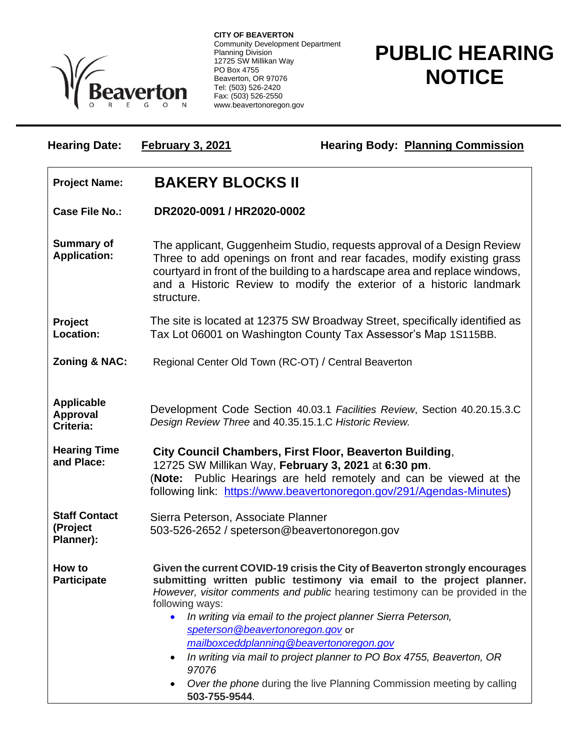

**CITY OF BEAVERTON** Community Development Department Planning Division 12725 SW Millikan Way PO Box 4755 Beaverton, OR 97076 Tel: (503) 526-2420 Fax: (503) 526-2550 www.beavertonoregon.gov

## **PUBLIC HEARING NOTICE**

| <b>Hearing Date:</b>                          | <b>February 3, 2021</b>                                                                                                                                                                                                                                                                                                                                                                                                                                                                                                                                           | <b>Hearing Body: Planning Commission</b>                                                                                                                                                                                                                                                               |
|-----------------------------------------------|-------------------------------------------------------------------------------------------------------------------------------------------------------------------------------------------------------------------------------------------------------------------------------------------------------------------------------------------------------------------------------------------------------------------------------------------------------------------------------------------------------------------------------------------------------------------|--------------------------------------------------------------------------------------------------------------------------------------------------------------------------------------------------------------------------------------------------------------------------------------------------------|
| <b>Project Name:</b>                          | <b>BAKERY BLOCKS II</b>                                                                                                                                                                                                                                                                                                                                                                                                                                                                                                                                           |                                                                                                                                                                                                                                                                                                        |
| <b>Case File No.:</b>                         | DR2020-0091 / HR2020-0002                                                                                                                                                                                                                                                                                                                                                                                                                                                                                                                                         |                                                                                                                                                                                                                                                                                                        |
| <b>Summary of</b><br><b>Application:</b>      | structure.                                                                                                                                                                                                                                                                                                                                                                                                                                                                                                                                                        | The applicant, Guggenheim Studio, requests approval of a Design Review<br>Three to add openings on front and rear facades, modify existing grass<br>courtyard in front of the building to a hardscape area and replace windows,<br>and a Historic Review to modify the exterior of a historic landmark |
| Project<br>Location:                          | The site is located at 12375 SW Broadway Street, specifically identified as<br>Tax Lot 06001 on Washington County Tax Assessor's Map 1S115BB.                                                                                                                                                                                                                                                                                                                                                                                                                     |                                                                                                                                                                                                                                                                                                        |
| <b>Zoning &amp; NAC:</b>                      | Regional Center Old Town (RC-OT) / Central Beaverton                                                                                                                                                                                                                                                                                                                                                                                                                                                                                                              |                                                                                                                                                                                                                                                                                                        |
| <b>Applicable</b><br>Approval<br>Criteria:    | Development Code Section 40.03.1 Facilities Review, Section 40.20.15.3.C<br>Design Review Three and 40.35.15.1.C Historic Review.                                                                                                                                                                                                                                                                                                                                                                                                                                 |                                                                                                                                                                                                                                                                                                        |
| <b>Hearing Time</b><br>and Place:             | City Council Chambers, First Floor, Beaverton Building,<br>12725 SW Millikan Way, February 3, 2021 at 6:30 pm.<br>(Note: Public Hearings are held remotely and can be viewed at the<br>following link: https://www.beavertonoregon.gov/291/Agendas-Minutes)                                                                                                                                                                                                                                                                                                       |                                                                                                                                                                                                                                                                                                        |
| <b>Staff Contact</b><br>(Project<br>Planner): | Sierra Peterson, Associate Planner<br>503-526-2652 / speterson@beavertonoregon.gov                                                                                                                                                                                                                                                                                                                                                                                                                                                                                |                                                                                                                                                                                                                                                                                                        |
| How to<br><b>Participate</b>                  | Given the current COVID-19 crisis the City of Beaverton strongly encourages<br>submitting written public testimony via email to the project planner.<br>However, visitor comments and public hearing testimony can be provided in the<br>following ways:<br>In writing via email to the project planner Sierra Peterson,<br>speterson@beavertonoregon.gov or<br>mailboxceddplanning@beavertonoregon.gov<br>In writing via mail to project planner to PO Box 4755, Beaverton, OR<br>97076<br>Over the phone during the live Planning Commission meeting by calling |                                                                                                                                                                                                                                                                                                        |

**503-755-9544**.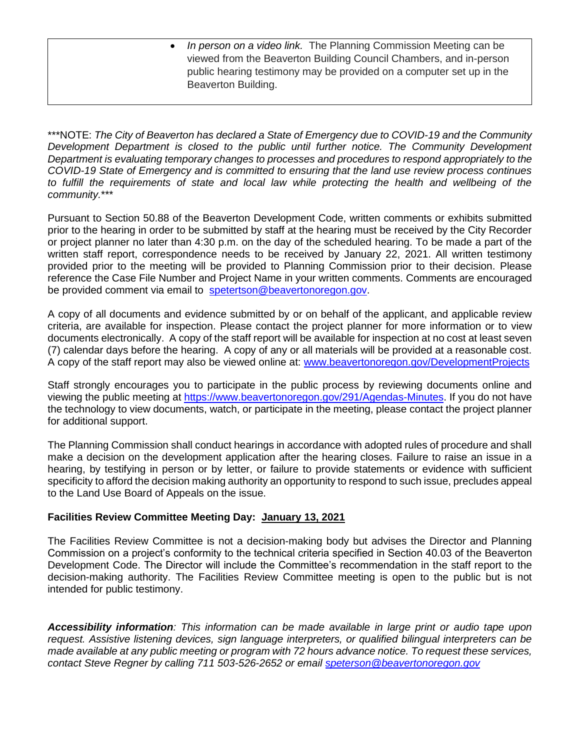• *In person on a video link.* The Planning Commission Meeting can be viewed from the Beaverton Building Council Chambers, and in-person public hearing testimony may be provided on a computer set up in the Beaverton Building.

\*\*\*NOTE: *The City of Beaverton has declared a State of Emergency due to COVID-19 and the Community Development Department is closed to the public until further notice. The Community Development Department is evaluating temporary changes to processes and procedures to respond appropriately to the COVID-19 State of Emergency and is committed to ensuring that the land use review process continues*  to fulfill the requirements of state and local law while protecting the health and wellbeing of the *community.*\*\*\*

Pursuant to Section 50.88 of the Beaverton Development Code, written comments or exhibits submitted prior to the hearing in order to be submitted by staff at the hearing must be received by the City Recorder or project planner no later than 4:30 p.m. on the day of the scheduled hearing. To be made a part of the written staff report, correspondence needs to be received by January 22, 2021. All written testimony provided prior to the meeting will be provided to Planning Commission prior to their decision. Please reference the Case File Number and Project Name in your written comments. Comments are encouraged be provided comment via email to [spetertson@beavertonoregon.gov.](mailto:spetertson@beavertonoregon.gov)

A copy of all documents and evidence submitted by or on behalf of the applicant, and applicable review criteria, are available for inspection. Please contact the project planner for more information or to view documents electronically. A copy of the staff report will be available for inspection at no cost at least seven (7) calendar days before the hearing. A copy of any or all materials will be provided at a reasonable cost. A copy of the staff report may also be viewed online at: [www.beavertonoregon.gov/DevelopmentProjects](http://www.beavertonoregon.gov/DevelopmentProjects)

Staff strongly encourages you to participate in the public process by reviewing documents online and viewing the public meeting at [https://www.beavertonoregon.gov/291/Agendas-Minutes.](https://www.beavertonoregon.gov/291/Agendas-Minutes) If you do not have the technology to view documents, watch, or participate in the meeting, please contact the project planner for additional support.

The Planning Commission shall conduct hearings in accordance with adopted rules of procedure and shall make a decision on the development application after the hearing closes. Failure to raise an issue in a hearing, by testifying in person or by letter, or failure to provide statements or evidence with sufficient specificity to afford the decision making authority an opportunity to respond to such issue, precludes appeal to the Land Use Board of Appeals on the issue.

## **Facilities Review Committee Meeting Day: January 13, 2021**

The Facilities Review Committee is not a decision-making body but advises the Director and Planning Commission on a project's conformity to the technical criteria specified in Section 40.03 of the Beaverton Development Code. The Director will include the Committee's recommendation in the staff report to the decision-making authority. The Facilities Review Committee meeting is open to the public but is not intended for public testimony.

*Accessibility information: This information can be made available in large print or audio tape upon request. Assistive listening devices, sign language interpreters, or qualified bilingual interpreters can be made available at any public meeting or program with 72 hours advance notice. To request these services, contact Steve Regner by calling 711 503-526-2652 or email [speterson@beavertonoregon.gov](mailto:speterson@beavertonoregon.gov)*